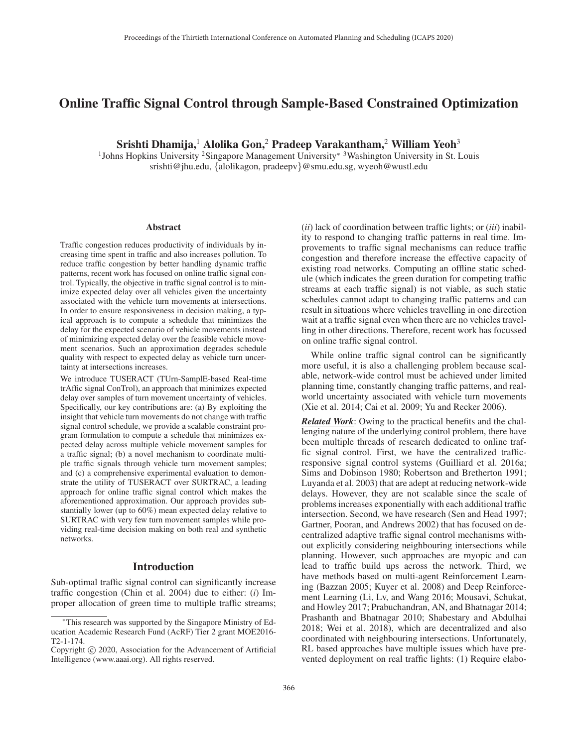# Online Traffic Signal Control through Sample-Based Constrained Optimization

Srishti Dhamija,<sup>1</sup> Alolika Gon,<sup>2</sup> Pradeep Varakantham,<sup>2</sup> William Yeoh<sup>3</sup>

1Johns Hopkins University 2Singapore Management University<sup>∗</sup> 3Washington University in St. Louis srishti@jhu.edu, {alolikagon, pradeepv}@smu.edu.sg, wyeoh@wustl.edu

#### **Abstract**

Traffic congestion reduces productivity of individuals by increasing time spent in traffic and also increases pollution. To reduce traffic congestion by better handling dynamic traffic patterns, recent work has focused on online traffic signal control. Typically, the objective in traffic signal control is to minimize expected delay over all vehicles given the uncertainty associated with the vehicle turn movements at intersections. In order to ensure responsiveness in decision making, a typical approach is to compute a schedule that minimizes the delay for the expected scenario of vehicle movements instead of minimizing expected delay over the feasible vehicle movement scenarios. Such an approximation degrades schedule quality with respect to expected delay as vehicle turn uncertainty at intersections increases.

We introduce TUSERACT (TUrn-SamplE-based Real-time trAffic signal ConTrol), an approach that minimizes expected delay over samples of turn movement uncertainty of vehicles. Specifically, our key contributions are: (a) By exploiting the insight that vehicle turn movements do not change with traffic signal control schedule, we provide a scalable constraint program formulation to compute a schedule that minimizes expected delay across multiple vehicle movement samples for a traffic signal; (b) a novel mechanism to coordinate multiple traffic signals through vehicle turn movement samples; and (c) a comprehensive experimental evaluation to demonstrate the utility of TUSERACT over SURTRAC, a leading approach for online traffic signal control which makes the aforementioned approximation. Our approach provides substantially lower (up to 60%) mean expected delay relative to SURTRAC with very few turn movement samples while providing real-time decision making on both real and synthetic networks.

### Introduction

Sub-optimal traffic signal control can significantly increase traffic congestion (Chin et al. 2004) due to either: (*i*) Improper allocation of green time to multiple traffic streams; (*ii*) lack of coordination between traffic lights; or (*iii*) inability to respond to changing traffic patterns in real time. Improvements to traffic signal mechanisms can reduce traffic congestion and therefore increase the effective capacity of existing road networks. Computing an offline static schedule (which indicates the green duration for competing traffic streams at each traffic signal) is not viable, as such static schedules cannot adapt to changing traffic patterns and can result in situations where vehicles travelling in one direction wait at a traffic signal even when there are no vehicles travelling in other directions. Therefore, recent work has focussed on online traffic signal control.

While online traffic signal control can be significantly more useful, it is also a challenging problem because scalable, network-wide control must be achieved under limited planning time, constantly changing traffic patterns, and realworld uncertainty associated with vehicle turn movements (Xie et al. 2014; Cai et al. 2009; Yu and Recker 2006).

*Related Work*: Owing to the practical benefits and the challenging nature of the underlying control problem, there have been multiple threads of research dedicated to online traffic signal control. First, we have the centralized trafficresponsive signal control systems (Guilliard et al. 2016a; Sims and Dobinson 1980; Robertson and Bretherton 1991; Luyanda et al. 2003) that are adept at reducing network-wide delays. However, they are not scalable since the scale of problems increases exponentially with each additional traffic intersection. Second, we have research (Sen and Head 1997; Gartner, Pooran, and Andrews 2002) that has focused on decentralized adaptive traffic signal control mechanisms without explicitly considering neighbouring intersections while planning. However, such approaches are myopic and can lead to traffic build ups across the network. Third, we have methods based on multi-agent Reinforcement Learning (Bazzan 2005; Kuyer et al. 2008) and Deep Reinforcement Learning (Li, Lv, and Wang 2016; Mousavi, Schukat, and Howley 2017; Prabuchandran, AN, and Bhatnagar 2014; Prashanth and Bhatnagar 2010; Shabestary and Abdulhai 2018; Wei et al. 2018), which are decentralized and also coordinated with neighbouring intersections. Unfortunately, RL based approaches have multiple issues which have prevented deployment on real traffic lights: (1) Require elabo-

<sup>∗</sup>This research was supported by the Singapore Ministry of Education Academic Research Fund (AcRF) Tier 2 grant MOE2016- T2-1-174.

Copyright  $\odot$  2020, Association for the Advancement of Artificial Intelligence (www.aaai.org). All rights reserved.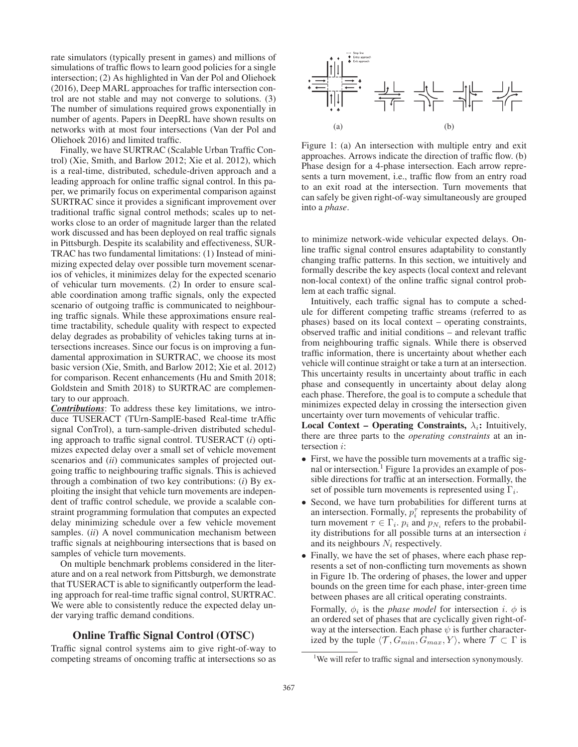rate simulators (typically present in games) and millions of simulations of traffic flows to learn good policies for a single intersection; (2) As highlighted in Van der Pol and Oliehoek (2016), Deep MARL approaches for traffic intersection control are not stable and may not converge to solutions. (3) The number of simulations required grows exponentially in number of agents. Papers in DeepRL have shown results on networks with at most four intersections (Van der Pol and Oliehoek 2016) and limited traffic.

Finally, we have SURTRAC (Scalable Urban Traffic Control) (Xie, Smith, and Barlow 2012; Xie et al. 2012), which is a real-time, distributed, schedule-driven approach and a leading approach for online traffic signal control. In this paper, we primarily focus on experimental comparison against SURTRAC since it provides a significant improvement over traditional traffic signal control methods; scales up to networks close to an order of magnitude larger than the related work discussed and has been deployed on real traffic signals in Pittsburgh. Despite its scalability and effectiveness, SUR-TRAC has two fundamental limitations: (1) Instead of minimizing expected delay over possible turn movement scenarios of vehicles, it minimizes delay for the expected scenario of vehicular turn movements. (2) In order to ensure scalable coordination among traffic signals, only the expected scenario of outgoing traffic is communicated to neighbouring traffic signals. While these approximations ensure realtime tractability, schedule quality with respect to expected delay degrades as probability of vehicles taking turns at intersections increases. Since our focus is on improving a fundamental approximation in SURTRAC, we choose its most basic version (Xie, Smith, and Barlow 2012; Xie et al. 2012) for comparison. Recent enhancements (Hu and Smith 2018; Goldstein and Smith 2018) to SURTRAC are complementary to our approach.

*Contributions*: To address these key limitations, we introduce TUSERACT (TUrn-SamplE-based Real-time trAffic signal ConTrol), a turn-sample-driven distributed scheduling approach to traffic signal control. TUSERACT (*i*) optimizes expected delay over a small set of vehicle movement scenarios and *(ii)* communicates samples of projected outgoing traffic to neighbouring traffic signals. This is achieved through a combination of two key contributions: (*i*) By exploiting the insight that vehicle turn movements are independent of traffic control schedule, we provide a scalable constraint programming formulation that computes an expected delay minimizing schedule over a few vehicle movement samples. *(ii)* A novel communication mechanism between traffic signals at neighbouring intersections that is based on samples of vehicle turn movements.

On multiple benchmark problems considered in the literature and on a real network from Pittsburgh, we demonstrate that TUSERACT is able to significantly outperform the leading approach for real-time traffic signal control, SURTRAC. We were able to consistently reduce the expected delay under varying traffic demand conditions.

## Online Traffic Signal Control (OTSC)

Traffic signal control systems aim to give right-of-way to competing streams of oncoming traffic at intersections so as



Figure 1: (a) An intersection with multiple entry and exit approaches. Arrows indicate the direction of traffic flow. (b) Phase design for a 4-phase intersection. Each arrow represents a turn movement, i.e., traffic flow from an entry road to an exit road at the intersection. Turn movements that can safely be given right-of-way simultaneously are grouped into a *phase*.

to minimize network-wide vehicular expected delays. Online traffic signal control ensures adaptability to constantly changing traffic patterns. In this section, we intuitively and formally describe the key aspects (local context and relevant non-local context) of the online traffic signal control problem at each traffic signal.

Intuitively, each traffic signal has to compute a schedule for different competing traffic streams (referred to as phases) based on its local context – operating constraints, observed traffic and initial conditions – and relevant traffic from neighbouring traffic signals. While there is observed traffic information, there is uncertainty about whether each vehicle will continue straight or take a turn at an intersection. This uncertainty results in uncertainty about traffic in each phase and consequently in uncertainty about delay along each phase. Therefore, the goal is to compute a schedule that minimizes expected delay in crossing the intersection given uncertainty over turn movements of vehicular traffic.

Local Context – Operating Constraints,  $\lambda_i$ : Intuitively, there are three parts to the *operating constraints* at an intersection i:

- First, we have the possible turn movements at a traffic signal or intersection.<sup>1</sup> Figure 1a provides an example of possible directions for traffic at an intersection. Formally, the set of possible turn movements is represented using  $\Gamma_i$ .
- Second, we have turn probabilities for different turns at an intersection. Formally,  $p_i^{\tau}$  represents the probability of turn movement  $\tau \in \Gamma_i$ .  $p_i$  and  $p_{N_i}$  refers to the probability distributions for all possible turns at an intersection  $i$ and its neighbours  $N_i$  respectively.
- Finally, we have the set of phases, where each phase represents a set of non-conflicting turn movements as shown in Figure 1b. The ordering of phases, the lower and upper bounds on the green time for each phase, inter-green time between phases are all critical operating constraints.

Formally,  $\phi_i$  is the *phase model* for intersection i.  $\phi$  is an ordered set of phases that are cyclically given right-ofway at the intersection. Each phase  $\psi$  is further characterized by the tuple  $\langle \mathcal{T}, G_{min}, G_{max}, Y \rangle$ , where  $\mathcal{T} \subset \Gamma$  is

<sup>&</sup>lt;sup>1</sup>We will refer to traffic signal and intersection synonymously.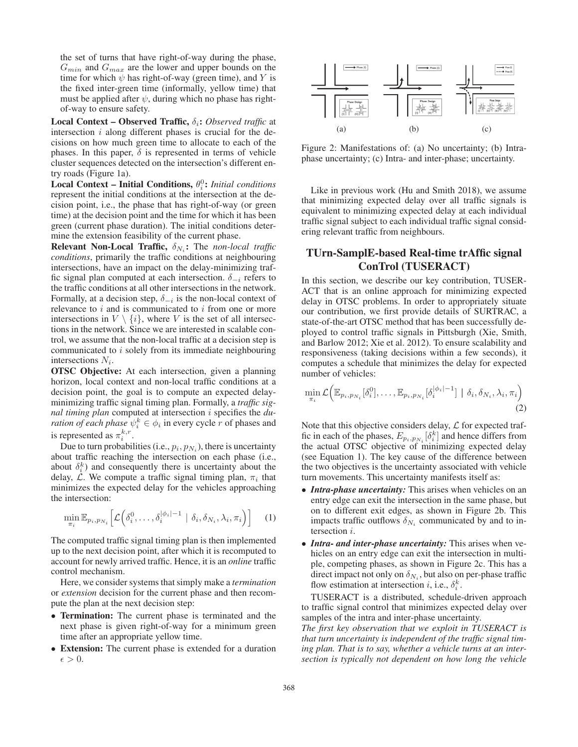the set of turns that have right-of-way during the phase,  $G_{min}$  and  $G_{max}$  are the lower and upper bounds on the time for which  $\psi$  has right-of-way (green time), and Y is the fixed inter-green time (informally, yellow time) that must be applied after  $\psi$ , during which no phase has rightof-way to ensure safety.

Local Context – Observed Traffic, δ<sub>i</sub>: Observed traffic at intersection  $i$  along different phases is crucial for the decisions on how much green time to allocate to each of the phases. In this paper,  $\delta$  is represented in terms of vehicle cluster sequences detected on the intersection's different entry roads (Figure 1a).

Local Context – Initial Conditions,  $\theta_i^0$ : *Initial conditions* represent the initial conditions at the intersection at the decision point, i.e., the phase that has right-of-way (or green time) at the decision point and the time for which it has been green (current phase duration). The initial conditions determine the extension feasibility of the current phase.

**Relevant Non-Local Traffic,**  $\delta_{N_i}$ : The *non-local traffic conditions*, primarily the traffic conditions at neighbouring intersections, have an impact on the delay-minimizing traffic signal plan computed at each intersection.  $\delta_{-i}$  refers to the traffic conditions at all other intersections in the network. Formally, at a decision step,  $\delta_{-i}$  is the non-local context of relevance to  $i$  and is communicated to  $i$  from one or more intersections in  $V \setminus \{i\}$ , where V is the set of all intersections in the network. Since we are interested in scalable control, we assume that the non-local traffic at a decision step is communicated to i solely from its immediate neighbouring intersections  $N_i$ .

OTSC Objective: At each intersection, given a planning horizon, local context and non-local traffic conditions at a decision point, the goal is to compute an expected delayminimizing traffic signal timing plan. Formally, a *traffic signal timing plan* computed at intersection i specifies the *duration of each phase*  $\psi_i^k \in \phi_i$  in every cycle r of phases and is represented as  $\pi_i^{k,r}$ .

Due to turn probabilities (i.e.,  $p_i$ ,  $p_{N_i}$ ), there is uncertainty about traffic reaching the intersection on each phase (i.e., about  $\delta_i^k$ ) and consequently there is uncertainty about the delay,  $\mathcal{L}$ . We compute a traffic signal timing plan,  $\pi_i$  that minimizes the expected delay for the vehicles approaching the intersection:

$$
\min_{\pi_i} \mathbb{E}_{p_i, p_{N_i}} \left[ \mathcal{L} \left( \delta_i^0, \dots, \delta_i^{|\phi_i|-1} \mid \delta_i, \delta_{N_i}, \lambda_i, \pi_i \right) \right] \tag{1}
$$

The computed traffic signal timing plan is then implemented up to the next decision point, after which it is recomputed to account for newly arrived traffic. Hence, it is an *online* traffic control mechanism.

Here, we consider systems that simply make a *termination* or *extension* decision for the current phase and then recompute the plan at the next decision step:

- Termination: The current phase is terminated and the next phase is given right-of-way for a minimum green time after an appropriate yellow time.
- Extension: The current phase is extended for a duration  $\epsilon > 0$ .



Figure 2: Manifestations of: (a) No uncertainty; (b) Intraphase uncertainty; (c) Intra- and inter-phase; uncertainty.

Like in previous work (Hu and Smith 2018), we assume that minimizing expected delay over all traffic signals is equivalent to minimizing expected delay at each individual traffic signal subject to each individual traffic signal considering relevant traffic from neighbours.

## TUrn-SamplE-based Real-time trAffic signal ConTrol (TUSERACT)

In this section, we describe our key contribution, TUSER-ACT that is an online approach for minimizing expected delay in OTSC problems. In order to appropriately situate our contribution, we first provide details of SURTRAC, a state-of-the-art OTSC method that has been successfully deployed to control traffic signals in Pittsburgh (Xie, Smith, and Barlow 2012; Xie et al. 2012). To ensure scalability and responsiveness (taking decisions within a few seconds), it computes a schedule that minimizes the delay for expected number of vehicles:

$$
\min_{\pi_i} \mathcal{L}\Big(\mathbb{E}_{p_i, p_{N_i}}[\delta_i^0], \dots, \mathbb{E}_{p_i, p_{N_i}}[\delta_i^{|\phi_i|-1}] \mid \delta_i, \delta_{N_i}, \lambda_i, \pi_i\Big) \tag{2}
$$

Note that this objective considers delay,  $\mathcal L$  for expected traffic in each of the phases,  $E_{p_i, p_{N_i}}[\delta_i^k]$  and hence differs from the actual OTSC objective of minimizing expected delay (see Equation 1). The key cause of the difference between the two objectives is the uncertainty associated with vehicle turn movements. This uncertainty manifests itself as:

- *Intra-phase uncertainty:* This arises when vehicles on an entry edge can exit the intersection in the same phase, but on to different exit edges, as shown in Figure 2b. This impacts traffic outflows  $\delta_{N_i}$  communicated by and to intersection i.
- *Intra- and inter-phase uncertainty:* This arises when vehicles on an entry edge can exit the intersection in multiple, competing phases, as shown in Figure 2c. This has a direct impact not only on  $\delta_{N_i}$ , but also on per-phase traffic flow estimation at intersection *i*, i.e.,  $\delta_i^k$ .

TUSERACT is a distributed, schedule-driven approach to traffic signal control that minimizes expected delay over samples of the intra and inter-phase uncertainty.

*The first key observation that we exploit in TUSERACT is that turn uncertainty is independent of the traffic signal timing plan. That is to say, whether a vehicle turns at an intersection is typically not dependent on how long the vehicle*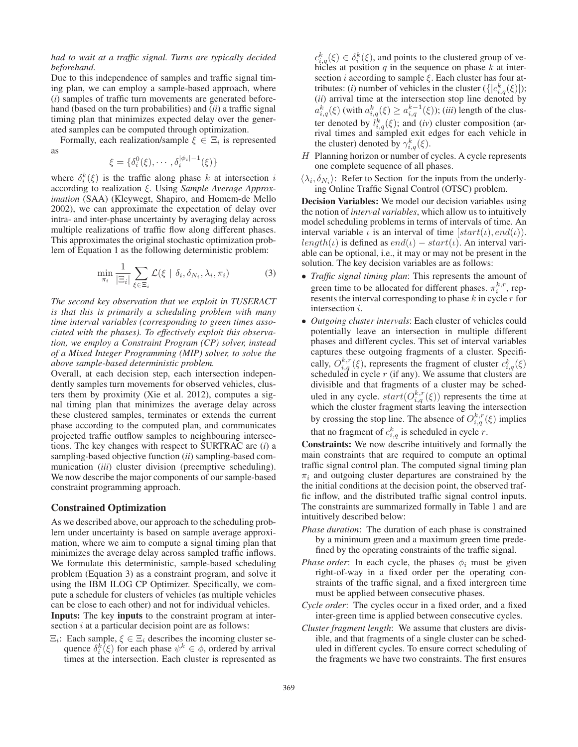### *had to wait at a traffic signal. Turns are typically decided beforehand.*

Due to this independence of samples and traffic signal timing plan, we can employ a sample-based approach, where (*i*) samples of traffic turn movements are generated beforehand (based on the turn probabilities) and (*ii*) a traffic signal timing plan that minimizes expected delay over the generated samples can be computed through optimization.

Formally, each realization/sample  $\xi \in \Xi_i$  is represented as

$$
\xi = \{\delta_i^0(\xi), \cdots, \delta_i^{|\phi_i|-1}(\xi)\}
$$

where  $\delta_i^k(\xi)$  is the traffic along phase k at intersection i according to realization ξ. Using *Sample Average Approximation* (SAA) (Kleywegt, Shapiro, and Homem-de Mello 2002), we can approximate the expectation of delay over intra- and inter-phase uncertainty by averaging delay across multiple realizations of traffic flow along different phases. This approximates the original stochastic optimization problem of Equation 1 as the following deterministic problem:

$$
\min_{\pi_i} \frac{1}{|\Xi_i|} \sum_{\xi \in \Xi_i} \mathcal{L}(\xi \mid \delta_i, \delta_{N_i}, \lambda_i, \pi_i)
$$
 (3)

*The second key observation that we exploit in TUSERACT is that this is primarily a scheduling problem with many time interval variables (corresponding to green times associated with the phases). To effectively exploit this observation, we employ a Constraint Program (CP) solver, instead of a Mixed Integer Programming (MIP) solver, to solve the above sample-based deterministic problem.*

Overall, at each decision step, each intersection independently samples turn movements for observed vehicles, clusters them by proximity (Xie et al. 2012), computes a signal timing plan that minimizes the average delay across these clustered samples, terminates or extends the current phase according to the computed plan, and communicates projected traffic outflow samples to neighbouring intersections. The key changes with respect to SURTRAC are (*i*) a sampling-based objective function (*ii*) sampling-based communication (*iii*) cluster division (preemptive scheduling). We now describe the major components of our sample-based constraint programming approach.

## Constrained Optimization

As we described above, our approach to the scheduling problem under uncertainty is based on sample average approximation, where we aim to compute a signal timing plan that minimizes the average delay across sampled traffic inflows. We formulate this deterministic, sample-based scheduling problem (Equation 3) as a constraint program, and solve it using the IBM ILOG CP Optimizer. Specifically, we compute a schedule for clusters of vehicles (as multiple vehicles can be close to each other) and not for individual vehicles.

Inputs: The key inputs to the constraint program at intersection  $i$  at a particular decision point are as follows:

 $\Xi_i$ : Each sample,  $\xi \in \Xi_i$  describes the incoming cluster sequence  $\delta_i^k(\xi)$  for each phase  $\psi^k \in \phi$ , ordered by arrival times at the intersection. Each cluster is represented as

 $c_{i,q}^k(\xi) \in \delta_i^k(\xi)$ , and points to the clustered group of vehicles at position  $q$  in the sequence on phase  $k$  at intersection  $i$  according to sample  $\xi$ . Each cluster has four attributes: (*i*) number of vehicles in the cluster  $({[c_{i,q}^k(\xi)]})$ ; (*ii*) arrival time at the intersection stop line denoted by  $a_{i,q}^{k}(\xi)$  (with  $a_{i,q}^{k}(\xi)\geq a_{i,q}^{k-1}(\xi)$ ); (*iii*) length of the cluster denoted by  $l_{i,q}^k(\xi)$ ; and (*iv*) cluster composition (arrival times and sampled exit edges for each vehicle in the cluster) denoted by  $\gamma_{i,q}^k(\xi)$ .

- H Planning horizon or number of cycles. A cycle represents one complete sequence of all phases.
- $\langle \lambda_i, \delta_{N_i} \rangle$ : Refer to Section for the inputs from the underlying Online Traffic Signal Control (OTSC) problem.

Decision Variables: We model our decision variables using the notion of *interval variables*, which allow us to intuitively model scheduling problems in terms of intervals of time. An interval variable  $\iota$  is an interval of time  $[start(\iota), end(\iota)).$ length(ι) is defined as  $end(\iota) - start(\iota)$ . An interval variable can be optional, i.e., it may or may not be present in the solution. The key decision variables are as follows:

- *Traffic signal timing plan*: This represents the amount of green time to be allocated for different phases.  $\pi_i^{k,r}$ , represents the interval corresponding to phase  $k$  in cycle  $r$  for intersection i.
- *Outgoing cluster intervals*: Each cluster of vehicles could potentially leave an intersection in multiple different phases and different cycles. This set of interval variables captures these outgoing fragments of a cluster. Specifically,  $O_{i,q}^{k,r}(\xi)$ , represents the fragment of cluster  $c_{i,q}^k(\xi)$ scheduled in cycle  $r$  (if any). We assume that clusters are divisible and that fragments of a cluster may be scheduled in any cycle.  $start(O_{i,q}^{k,r}(\xi))$  represents the time at which the cluster fragment starts leaving the intersection by crossing the stop line. The absence of  $O_{i,q}^{k,r}(\xi)$  implies that no fragment of  $c_{i,q}^k$  is scheduled in cycle r.

Constraints: We now describe intuitively and formally the main constraints that are required to compute an optimal traffic signal control plan. The computed signal timing plan  $\pi_i$  and outgoing cluster departures are constrained by the the initial conditions at the decision point, the observed traffic inflow, and the distributed traffic signal control inputs. The constraints are summarized formally in Table 1 and are intuitively described below:

- *Phase duration*: The duration of each phase is constrained by a minimum green and a maximum green time predefined by the operating constraints of the traffic signal.
- *Phase order*: In each cycle, the phases  $\phi_i$  must be given right-of-way in a fixed order per the operating constraints of the traffic signal, and a fixed intergreen time must be applied between consecutive phases.
- *Cycle order*: The cycles occur in a fixed order, and a fixed inter-green time is applied between consecutive cycles.
- *Cluster fragment length*: We assume that clusters are divisible, and that fragments of a single cluster can be scheduled in different cycles. To ensure correct scheduling of the fragments we have two constraints. The first ensures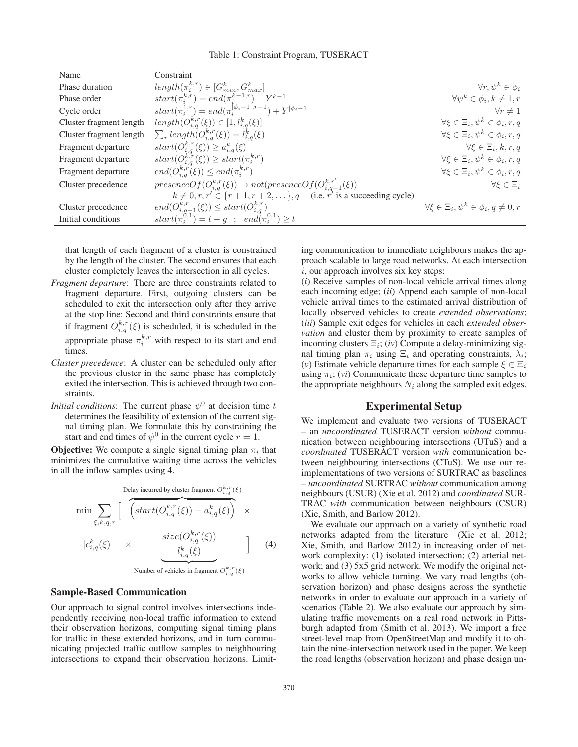Table 1: Constraint Program, TUSERACT

| Name                    | Constraint                                                                         |                                                         |
|-------------------------|------------------------------------------------------------------------------------|---------------------------------------------------------|
| Phase duration          | $\overline{length(\pi_i^{k,r})} \in [G_{min}^k, G_{max}^k]$                        | $\forall r, \psi^k \in \phi_i$                          |
| Phase order             | $start(\pi_i^{k,r}) = end(\pi_i^{k-1,r}) + Y^{k-1}$                                | $\forall \psi^k \in \phi_i, k \neq 1, r$                |
| Cycle order             | $start(\pi_i^{1,r}) = end(\pi_i^{[\phi_i-1],r-1}) + Y^{ \phi_i-1 }$                | $\forall r \neq 1$                                      |
| Cluster fragment length | $length(O_{i,q}^{k,r}(\xi)) \in [1, l_{i,q}^k(\xi)]$                               | $\forall \xi \in \Xi_i, \psi^k \in \phi_i, r, q$        |
| Cluster fragment length | $\sum_{r} length(O_{i,q}^{k,r}(\xi)) = l_{i,q}^{k}(\xi)$                           | $\forall \xi \in \Xi_i, \psi^k \in \phi_i, r, q$        |
| Fragment departure      | $start(O_{i,q}^{k,r}(\xi)) \geq a_{i,q}^k(\xi)$                                    | $\forall \xi \in \Xi_i, k, r, q$                        |
| Fragment departure      | $start(O_{i,q}^{k,r}(\xi)) \geq start(\pi_i^{k,r})$                                | $\forall \xi \in \Xi_i, \psi^k \in \phi_i, r, q$        |
| Fragment departure      | $end(O_{i,a}^{k,r}(\xi)) \leq end(\pi_i^{k,r})$                                    | $\forall \xi \in \Xi_i, \psi^k \in \phi_i, r, q$        |
| Cluster precedence      | $presenceOf(O_{i,q}^{k,r}(\xi)) \rightarrow not(presenceOf(O_{i,q-1}^{k,r'}(\xi))$ | $\forall \xi \in \Xi_i$                                 |
|                         | $k \neq 0, r, r' \in \{r+1, r+2, \dots\}, q$ (i.e. $r'$ is a succeeding cycle)     |                                                         |
| Cluster precedence      | $end(O_{i,q-1}^{k,r}(\xi)) \leq start(O_{i,q}^{k,r})$                              | $\forall \xi \in \Xi_i, \psi^k \in \phi_i, q \neq 0, r$ |
| Initial conditions      | $start(\pi_i^{0,1}) = t - g \; ; \; end(\pi_i^{0,1}) \geq t$                       |                                                         |

that length of each fragment of a cluster is constrained by the length of the cluster. The second ensures that each cluster completely leaves the intersection in all cycles.

- *Fragment departure*: There are three constraints related to fragment departure. First, outgoing clusters can be scheduled to exit the intersection only after they arrive at the stop line: Second and third constraints ensure that if fragment  $O_{i,q}^{k,r}(\xi)$  is scheduled, it is scheduled in the appropriate phase  $\pi_i^{k,r}$  with respect to its start and end times.
- *Cluster precedence*: A cluster can be scheduled only after the previous cluster in the same phase has completely exited the intersection. This is achieved through two constraints.
- *Initial conditions*: The current phase  $\psi^0$  at decision time t determines the feasibility of extension of the current signal timing plan. We formulate this by constraining the start and end times of  $\psi^0$  in the current cycle  $r = 1$ .

**Objective:** We compute a single signal timing plan  $\pi_i$  that minimizes the cumulative waiting time across the vehicles in all the inflow samples using 4.

$$
\min \sum_{\xi,k,q,r} \left[ \overbrace{\left( \text{start}(O_{i,q}^{k,r}(\xi)) - a_{i,q}^k(\xi) \right)}^{\text{Delay incurred by cluster fragment } O_{i,q}^{k,r}(\xi)} \times \right] \times
$$
\n
$$
|c_{i,q}^k(\xi)| \times \underbrace{\frac{\text{size}(O_{i,q}^{k,r}(\xi))}{l_{i,q}^k(\xi)}}_{\text{long}} \qquad \qquad \right] \qquad (4)
$$

Number of vehicles in fragment  $O_{i,q}^{k,r}(\xi)$ 

### Sample-Based Communication

Our approach to signal control involves intersections independently receiving non-local traffic information to extend their observation horizons, computing signal timing plans for traffic in these extended horizons, and in turn communicating projected traffic outflow samples to neighbouring intersections to expand their observation horizons. Limiting communication to immediate neighbours makes the approach scalable to large road networks. At each intersection  $i$ , our approach involves six key steps:

(*i*) Receive samples of non-local vehicle arrival times along each incoming edge; (*ii*) Append each sample of non-local vehicle arrival times to the estimated arrival distribution of locally observed vehicles to create *extended observations*; (*iii*) Sample exit edges for vehicles in each *extended observation* and cluster them by proximity to create samples of incoming clusters  $\Xi_i$ ; (*iv*) Compute a delay-minimizing signal timing plan  $\pi_i$  using  $\Xi_i$  and operating constraints,  $\lambda_i$ ; (*v*) Estimate vehicle departure times for each sample  $\xi \in \Xi_i$ using  $\pi_i$ ; (*vi*) Communicate these departure time samples to the appropriate neighbours  $N_i$  along the sampled exit edges.

## Experimental Setup

We implement and evaluate two versions of TUSERACT – an *uncoordinated* TUSERACT version *without* communication between neighbouring intersections (UTuS) and a *coordinated* TUSERACT version *with* communication between neighbouring intersections (CTuS). We use our reimplementations of two versions of SURTRAC as baselines – *uncoordinated* SURTRAC *without* communication among neighbours (USUR) (Xie et al. 2012) and *coordinated* SUR-TRAC *with* communication between neighbours (CSUR) (Xie, Smith, and Barlow 2012).

We evaluate our approach on a variety of synthetic road networks adapted from the literature (Xie et al. 2012; Xie, Smith, and Barlow 2012) in increasing order of network complexity: (1) isolated intersection; (2) arterial network; and (3) 5x5 grid network. We modify the original networks to allow vehicle turning. We vary road lengths (observation horizon) and phase designs across the synthetic networks in order to evaluate our approach in a variety of scenarios (Table 2). We also evaluate our approach by simulating traffic movements on a real road network in Pittsburgh adapted from (Smith et al. 2013). We import a free street-level map from OpenStreetMap and modify it to obtain the nine-intersection network used in the paper. We keep the road lengths (observation horizon) and phase design un-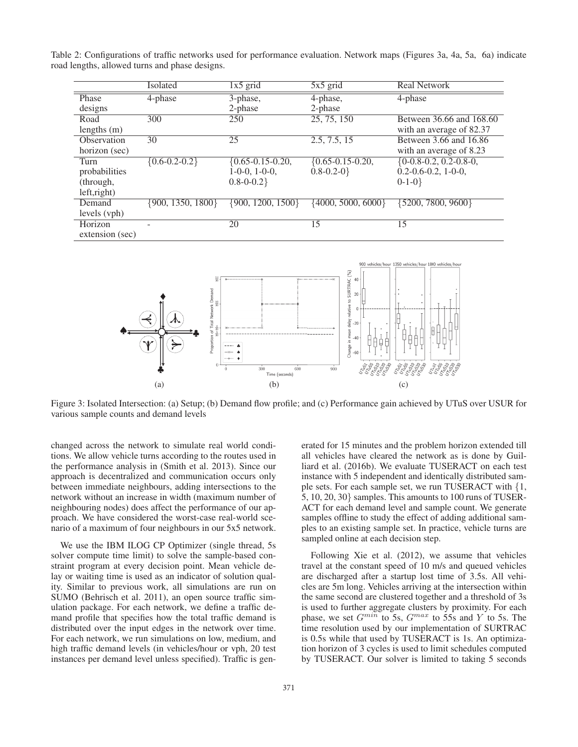Table 2: Configurations of traffic networks used for performance evaluation. Network maps (Figures 3a, 4a, 5a, 6a) indicate road lengths, allowed turns and phase designs.

|                 | Isolated              | $1x5$ grid              | $5x5$ grid              | <b>Real Network</b>        |
|-----------------|-----------------------|-------------------------|-------------------------|----------------------------|
| Phase           | 4-phase               | 3-phase,                | 4-phase,                | 4-phase                    |
| designs         |                       | 2-phase                 | 2-phase                 |                            |
| Road            | 300                   | 250                     | 25, 75, 150             | Between 36.66 and 168.60   |
| lengths $(m)$   |                       |                         |                         | with an average of 82.37   |
| Observation     | 30                    | 25                      | 2.5, 7.5, 15            | Between 3.66 and 16.86     |
| horizon (sec)   |                       |                         |                         | with an average of 8.23    |
| Turn            | ${0.6 - 0.2 - 0.2}$   | $\{0.65 - 0.15 - 0.20,$ | $\{0.65 - 0.15 - 0.20,$ | $\{0-0.8-0.2, 0.2-0.8-0,$  |
| probabilities   |                       | $1-0-0$ , $1-0-0$ ,     | $0.8 - 0.2 - 0$         | $0.2 - 0.6 - 0.2$ , 1-0-0, |
| (through,       |                       | $0.8 - 0.2$             |                         | $0-1-0$ }                  |
| left,right)     |                       |                         |                         |                            |
| Demand          | $\{900, 1350, 1800\}$ | $\{900, 1200, 1500\}$   | $\{4000, 5000, 6000\}$  | $\{5200, 7800, 9600\}$     |
| levels (vph)    |                       |                         |                         |                            |
| Horizon         |                       | 20                      | 15                      | 15                         |
| extension (sec) |                       |                         |                         |                            |



Figure 3: Isolated Intersection: (a) Setup; (b) Demand flow profile; and (c) Performance gain achieved by UTuS over USUR for various sample counts and demand levels

changed across the network to simulate real world conditions. We allow vehicle turns according to the routes used in the performance analysis in (Smith et al. 2013). Since our approach is decentralized and communication occurs only between immediate neighbours, adding intersections to the network without an increase in width (maximum number of neighbouring nodes) does affect the performance of our approach. We have considered the worst-case real-world scenario of a maximum of four neighbours in our 5x5 network.

We use the IBM ILOG CP Optimizer (single thread, 5s solver compute time limit) to solve the sample-based constraint program at every decision point. Mean vehicle delay or waiting time is used as an indicator of solution quality. Similar to previous work, all simulations are run on SUMO (Behrisch et al. 2011), an open source traffic simulation package. For each network, we define a traffic demand profile that specifies how the total traffic demand is distributed over the input edges in the network over time. For each network, we run simulations on low, medium, and high traffic demand levels (in vehicles/hour or vph, 20 test instances per demand level unless specified). Traffic is gen-

erated for 15 minutes and the problem horizon extended till all vehicles have cleared the network as is done by Guilliard et al. (2016b). We evaluate TUSERACT on each test instance with 5 independent and identically distributed sample sets. For each sample set, we run TUSERACT with {1, 5, 10, 20, 30} samples. This amounts to 100 runs of TUSER-ACT for each demand level and sample count. We generate samples offline to study the effect of adding additional samples to an existing sample set. In practice, vehicle turns are sampled online at each decision step.

Following Xie et al. (2012), we assume that vehicles travel at the constant speed of 10 m/s and queued vehicles are discharged after a startup lost time of 3.5s. All vehicles are 5m long. Vehicles arriving at the intersection within the same second are clustered together and a threshold of 3s is used to further aggregate clusters by proximity. For each phase, we set  $G^{min}$  to 5s,  $G^{max}$  to 55s and Y to 5s. The time resolution used by our implementation of SURTRAC is 0.5s while that used by TUSERACT is 1s. An optimization horizon of 3 cycles is used to limit schedules computed by TUSERACT. Our solver is limited to taking 5 seconds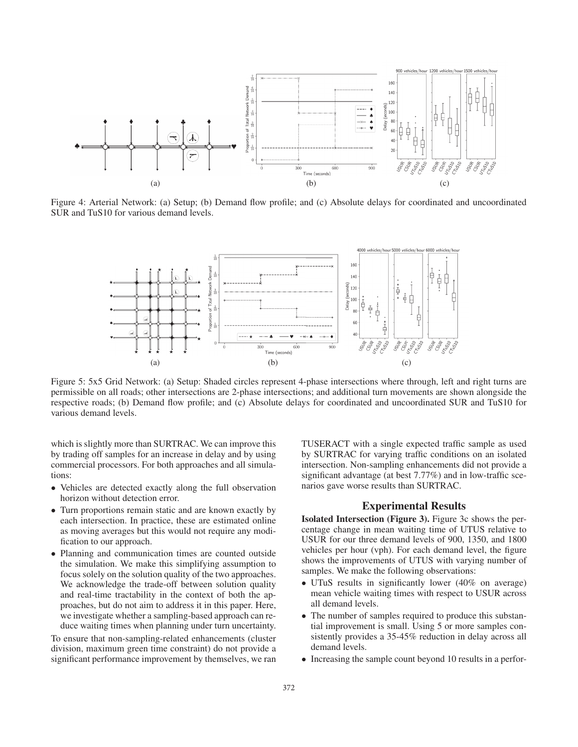

Figure 4: Arterial Network: (a) Setup; (b) Demand flow profile; and (c) Absolute delays for coordinated and uncoordinated SUR and TuS10 for various demand levels.



Figure 5: 5x5 Grid Network: (a) Setup: Shaded circles represent 4-phase intersections where through, left and right turns are permissible on all roads; other intersections are 2-phase intersections; and additional turn movements are shown alongside the respective roads; (b) Demand flow profile; and (c) Absolute delays for coordinated and uncoordinated SUR and TuS10 for various demand levels.

which is slightly more than SURTRAC. We can improve this by trading off samples for an increase in delay and by using commercial processors. For both approaches and all simulations:

- Vehicles are detected exactly along the full observation horizon without detection error.
- Turn proportions remain static and are known exactly by each intersection. In practice, these are estimated online as moving averages but this would not require any modification to our approach.
- Planning and communication times are counted outside the simulation. We make this simplifying assumption to focus solely on the solution quality of the two approaches. We acknowledge the trade-off between solution quality and real-time tractability in the context of both the approaches, but do not aim to address it in this paper. Here, we investigate whether a sampling-based approach can reduce waiting times when planning under turn uncertainty.

To ensure that non-sampling-related enhancements (cluster division, maximum green time constraint) do not provide a significant performance improvement by themselves, we ran

TUSERACT with a single expected traffic sample as used by SURTRAC for varying traffic conditions on an isolated intersection. Non-sampling enhancements did not provide a significant advantage (at best 7.77%) and in low-traffic scenarios gave worse results than SURTRAC.

## Experimental Results

Isolated Intersection (Figure 3). Figure 3c shows the percentage change in mean waiting time of UTUS relative to USUR for our three demand levels of 900, 1350, and 1800 vehicles per hour (vph). For each demand level, the figure shows the improvements of UTUS with varying number of samples. We make the following observations:

- UTuS results in significantly lower (40% on average) mean vehicle waiting times with respect to USUR across all demand levels.
- The number of samples required to produce this substantial improvement is small. Using 5 or more samples consistently provides a 35-45% reduction in delay across all demand levels.
- Increasing the sample count beyond 10 results in a perfor-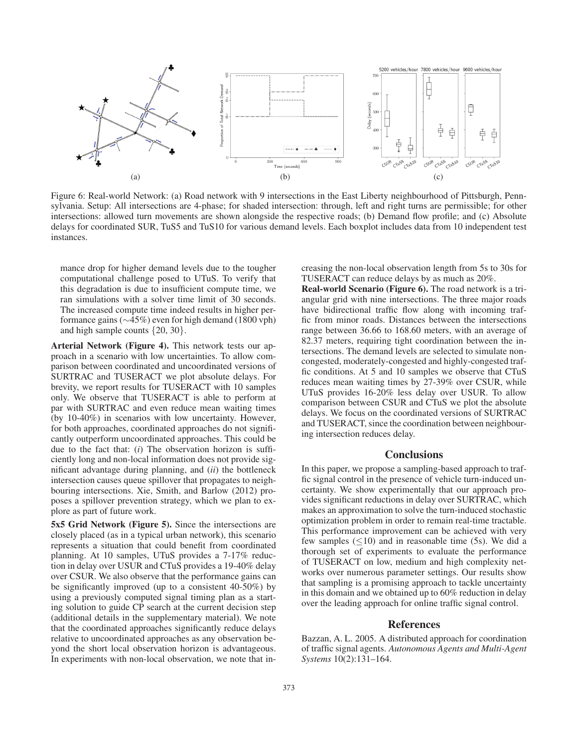

Figure 6: Real-world Network: (a) Road network with 9 intersections in the East Liberty neighbourhood of Pittsburgh, Pennsylvania. Setup: All intersections are 4-phase; for shaded intersection: through, left and right turns are permissible; for other intersections: allowed turn movements are shown alongside the respective roads; (b) Demand flow profile; and (c) Absolute delays for coordinated SUR, TuS5 and TuS10 for various demand levels. Each boxplot includes data from 10 independent test instances.

mance drop for higher demand levels due to the tougher computational challenge posed to UTuS. To verify that this degradation is due to insufficient compute time, we ran simulations with a solver time limit of 30 seconds. The increased compute time indeed results in higher performance gains (∼45%) even for high demand (1800 vph) and high sample counts {20, 30}.

Arterial Network (Figure 4). This network tests our approach in a scenario with low uncertainties. To allow comparison between coordinated and uncoordinated versions of SURTRAC and TUSERACT we plot absolute delays. For brevity, we report results for TUSERACT with 10 samples only. We observe that TUSERACT is able to perform at par with SURTRAC and even reduce mean waiting times (by 10-40%) in scenarios with low uncertainty. However, for both approaches, coordinated approaches do not significantly outperform uncoordinated approaches. This could be due to the fact that: (*i*) The observation horizon is sufficiently long and non-local information does not provide significant advantage during planning, and (*ii*) the bottleneck intersection causes queue spillover that propagates to neighbouring intersections. Xie, Smith, and Barlow (2012) proposes a spillover prevention strategy, which we plan to explore as part of future work.

5x5 Grid Network (Figure 5). Since the intersections are closely placed (as in a typical urban network), this scenario represents a situation that could benefit from coordinated planning. At 10 samples, UTuS provides a 7-17% reduction in delay over USUR and CTuS provides a 19-40% delay over CSUR. We also observe that the performance gains can be significantly improved (up to a consistent 40-50%) by using a previously computed signal timing plan as a starting solution to guide CP search at the current decision step (additional details in the supplementary material). We note that the coordinated approaches significantly reduce delays relative to uncoordinated approaches as any observation beyond the short local observation horizon is advantageous. In experiments with non-local observation, we note that in-

creasing the non-local observation length from 5s to 30s for TUSERACT can reduce delays by as much as 20%.

Real-world Scenario (Figure 6). The road network is a triangular grid with nine intersections. The three major roads have bidirectional traffic flow along with incoming traffic from minor roads. Distances between the intersections range between 36.66 to 168.60 meters, with an average of 82.37 meters, requiring tight coordination between the intersections. The demand levels are selected to simulate noncongested, moderately-congested and highly-congested traffic conditions. At 5 and 10 samples we observe that CTuS reduces mean waiting times by 27-39% over CSUR, while UTuS provides 16-20% less delay over USUR. To allow comparison between CSUR and CTuS we plot the absolute delays. We focus on the coordinated versions of SURTRAC and TUSERACT, since the coordination between neighbouring intersection reduces delay.

#### **Conclusions**

In this paper, we propose a sampling-based approach to traffic signal control in the presence of vehicle turn-induced uncertainty. We show experimentally that our approach provides significant reductions in delay over SURTRAC, which makes an approximation to solve the turn-induced stochastic optimization problem in order to remain real-time tractable. This performance improvement can be achieved with very few samples  $(\leq 10)$  and in reasonable time (5s). We did a thorough set of experiments to evaluate the performance of TUSERACT on low, medium and high complexity networks over numerous parameter settings. Our results show that sampling is a promising approach to tackle uncertainty in this domain and we obtained up to 60% reduction in delay over the leading approach for online traffic signal control.

## References

Bazzan, A. L. 2005. A distributed approach for coordination of traffic signal agents. *Autonomous Agents and Multi-Agent Systems* 10(2):131–164.